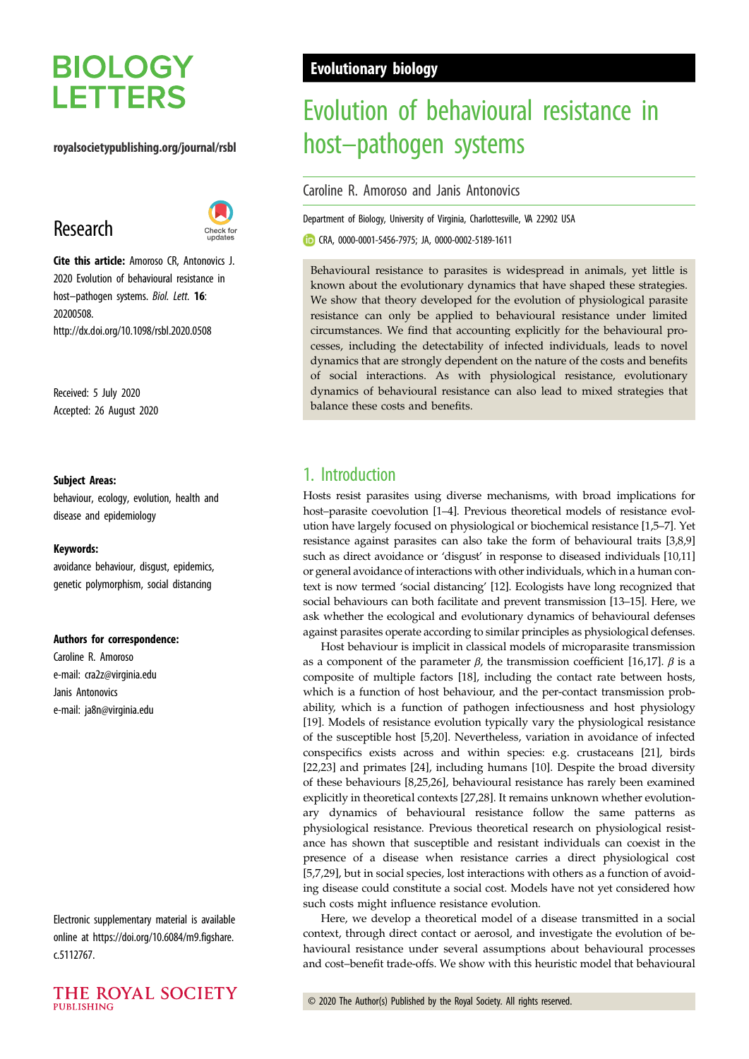# **BIOLOGY LETTERS**

#### royalsocietypublishing.org/journal/rsbl

# Research



Cite this article: Amoroso CR, Antonovics J. 2020 Evolution of behavioural resistance in host-pathogen systems. Biol. Lett. 16: 20200508. http://dx.doi.org/10.1098/rsbl.2020.0508

Received: 5 July 2020 Accepted: 26 August 2020

#### Subject Areas:

behaviour, ecology, evolution, health and disease and epidemiology

#### Keywords:

avoidance behaviour, disgust, epidemics, genetic polymorphism, social distancing

#### Authors for correspondence:

Caroline R. Amoroso e-mail: [cra2z@virginia.edu](mailto:cra2z@virginia.edu) Janis Antonovics e-mail: [ja8n@virginia.edu](mailto:ja8n@virginia.edu)

Electronic supplementary material is available online at [https://doi.org/10.6084/m9.figshare.](https://doi.org/10.6084/m9.figshare.c.5112767) [c.5112767.](https://doi.org/10.6084/m9.figshare.c.5112767)



# Evolutionary biology

# Evolution of behavioural resistance in host–pathogen systems

Caroline R. Amoroso and Janis Antonovics

Department of Biology, University of Virginia, Charlottesville, VA 22902 USA

CRA, [0000-0001-5456-7975](http://orcid.org/0000-0001-5456-7975); JA, [0000-0002-5189-1611](http://orcid.org/0000-0002-5189-1611)

Behavioural resistance to parasites is widespread in animals, yet little is known about the evolutionary dynamics that have shaped these strategies. We show that theory developed for the evolution of physiological parasite resistance can only be applied to behavioural resistance under limited circumstances. We find that accounting explicitly for the behavioural processes, including the detectability of infected individuals, leads to novel dynamics that are strongly dependent on the nature of the costs and benefits of social interactions. As with physiological resistance, evolutionary dynamics of behavioural resistance can also lead to mixed strategies that balance these costs and benefits.

# 1. Introduction

Hosts resist parasites using diverse mechanisms, with broad implications for host–parasite coevolution [\[1](#page-4-0)–[4](#page-4-0)]. Previous theoretical models of resistance evolution have largely focused on physiological or biochemical resistance [[1,5](#page-4-0)–[7\]](#page-4-0). Yet resistance against parasites can also take the form of behavioural traits [\[3,8,9\]](#page-4-0) such as direct avoidance or 'disgust' in response to diseased individuals [[10,11\]](#page-4-0) or general avoidance of interactions with other individuals, which in a human context is now termed 'social distancing' [[12\]](#page-4-0). Ecologists have long recognized that social behaviours can both facilitate and prevent transmission [[13](#page-4-0)–[15\]](#page-4-0). Here, we ask whether the ecological and evolutionary dynamics of behavioural defenses against parasites operate according to similar principles as physiological defenses.

Host behaviour is implicit in classical models of microparasite transmission as a component of the parameter  $\beta$ , the transmission coefficient [[16,17\]](#page-4-0).  $\beta$  is a composite of multiple factors [\[18](#page-4-0)], including the contact rate between hosts, which is a function of host behaviour, and the per-contact transmission probability, which is a function of pathogen infectiousness and host physiology [[19\]](#page-4-0). Models of resistance evolution typically vary the physiological resistance of the susceptible host [\[5,20](#page-4-0)]. Nevertheless, variation in avoidance of infected conspecifics exists across and within species: e.g. crustaceans [[21\]](#page-4-0), birds [[22,23](#page-4-0)] and primates [\[24](#page-4-0)], including humans [[10](#page-4-0)]. Despite the broad diversity of these behaviours [[8,25](#page-4-0),[26\]](#page-4-0), behavioural resistance has rarely been examined explicitly in theoretical contexts [\[27,28](#page-4-0)]. It remains unknown whether evolutionary dynamics of behavioural resistance follow the same patterns as physiological resistance. Previous theoretical research on physiological resistance has shown that susceptible and resistant individuals can coexist in the presence of a disease when resistance carries a direct physiological cost [[5](#page-4-0),[7,29](#page-4-0)], but in social species, lost interactions with others as a function of avoiding disease could constitute a social cost. Models have not yet considered how such costs might influence resistance evolution.

Here, we develop a theoretical model of a disease transmitted in a social context, through direct contact or aerosol, and investigate the evolution of behavioural resistance under several assumptions about behavioural processes and cost–benefit trade-offs. We show with this heuristic model that behavioural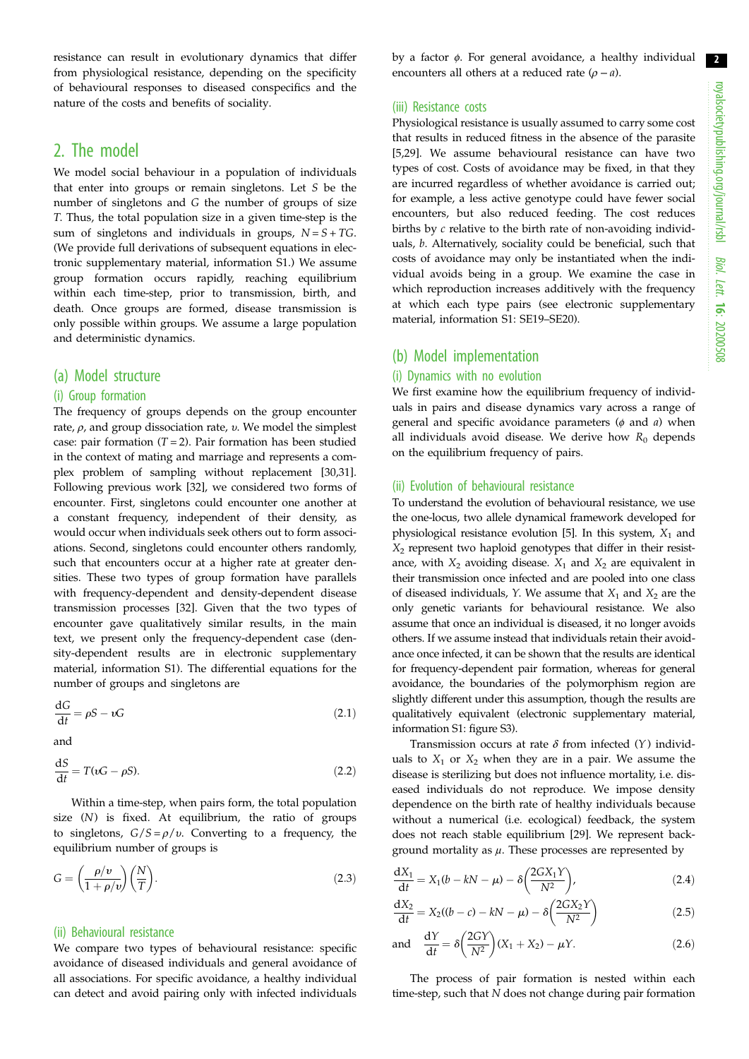2

resistance can result in evolutionary dynamics that differ from physiological resistance, depending on the specificity of behavioural responses to diseased conspecifics and the nature of the costs and benefits of sociality.

## 2. The model

We model social behaviour in a population of individuals that enter into groups or remain singletons. Let S be the number of singletons and G the number of groups of size T. Thus, the total population size in a given time-step is the sum of singletons and individuals in groups,  $N = S + TG$ . (We provide full derivations of subsequent equations in electronic supplementary material, information S1.) We assume group formation occurs rapidly, reaching equilibrium within each time-step, prior to transmission, birth, and death. Once groups are formed, disease transmission is only possible within groups. We assume a large population and deterministic dynamics.

#### (a) Model structure

#### (i) Group formation

The frequency of groups depends on the group encounter rate,  $\rho$ , and group dissociation rate, *v*. We model the simplest case: pair formation  $(T = 2)$ . Pair formation has been studied in the context of mating and marriage and represents a complex problem of sampling without replacement [\[30,31](#page-4-0)]. Following previous work [[32\]](#page-4-0), we considered two forms of encounter. First, singletons could encounter one another at a constant frequency, independent of their density, as would occur when individuals seek others out to form associations. Second, singletons could encounter others randomly, such that encounters occur at a higher rate at greater densities. These two types of group formation have parallels with frequency-dependent and density-dependent disease transmission processes [[32\]](#page-4-0). Given that the two types of encounter gave qualitatively similar results, in the main text, we present only the frequency-dependent case (density-dependent results are in electronic supplementary material, information S1). The differential equations for the number of groups and singletons are

$$
\frac{\mathrm{d}G}{\mathrm{d}t} = \rho S - \nu G \tag{2.1}
$$

and

$$
\frac{\mathrm{d}S}{\mathrm{d}t} = T(\iota G - \rho S). \tag{2.2}
$$

Within a time-step, when pairs form, the total population size (N) is fixed. At equilibrium, the ratio of groups to singletons,  $G/S = \rho/v$ . Converting to a frequency, the equilibrium number of groups is

$$
G = \left(\frac{\rho/v}{1 + \rho/v}\right) \left(\frac{N}{T}\right). \tag{2.3}
$$

#### (ii) Behavioural resistance

We compare two types of behavioural resistance: specific avoidance of diseased individuals and general avoidance of all associations. For specific avoidance, a healthy individual can detect and avoid pairing only with infected individuals

by a factor  $\phi$ . For general avoidance, a healthy individual encounters all others at a reduced rate  $(\rho - a)$ .

#### (iii) Resistance costs

Physiological resistance is usually assumed to carry some cost that results in reduced fitness in the absence of the parasite [[5,29](#page-4-0)]. We assume behavioural resistance can have two types of cost. Costs of avoidance may be fixed, in that they are incurred regardless of whether avoidance is carried out; for example, a less active genotype could have fewer social encounters, but also reduced feeding. The cost reduces births by c relative to the birth rate of non-avoiding individuals, b. Alternatively, sociality could be beneficial, such that costs of avoidance may only be instantiated when the individual avoids being in a group. We examine the case in which reproduction increases additively with the frequency at which each type pairs (see electronic supplementary material, information S1: SE19–SE20).

### (b) Model implementation

#### (i) Dynamics with no evolution

We first examine how the equilibrium frequency of individuals in pairs and disease dynamics vary across a range of general and specific avoidance parameters ( $\phi$  and  $a$ ) when all individuals avoid disease. We derive how  $R_0$  depends on the equilibrium frequency of pairs.

#### (ii) Evolution of behavioural resistance

To understand the evolution of behavioural resistance, we use the one-locus, two allele dynamical framework developed for physiological resistance evolution [[5](#page-4-0)]. In this system,  $X_1$  and  $X<sub>2</sub>$  represent two haploid genotypes that differ in their resistance, with  $X_2$  avoiding disease.  $X_1$  and  $X_2$  are equivalent in their transmission once infected and are pooled into one class of diseased individuals, Y. We assume that  $X_1$  and  $X_2$  are the only genetic variants for behavioural resistance. We also assume that once an individual is diseased, it no longer avoids others. If we assume instead that individuals retain their avoidance once infected, it can be shown that the results are identical for frequency-dependent pair formation, whereas for general avoidance, the boundaries of the polymorphism region are slightly different under this assumption, though the results are qualitatively equivalent (electronic supplementary material, information S1: figure S3).

Transmission occurs at rate  $\delta$  from infected (Y) individuals to  $X_1$  or  $X_2$  when they are in a pair. We assume the disease is sterilizing but does not influence mortality, i.e. diseased individuals do not reproduce. We impose density dependence on the birth rate of healthy individuals because without a numerical (i.e. ecological) feedback, the system does not reach stable equilibrium [\[29](#page-4-0)]. We represent background mortality as  $\mu$ . These processes are represented by

$$
\frac{dX_1}{dt} = X_1(b - kN - \mu) - \delta \left( \frac{2GX_1Y}{N^2} \right),\tag{2.4}
$$

$$
\frac{dX_2}{dt} = X_2((b - c) - kN - \mu) - \delta \left( \frac{2GX_2Y}{N^2} \right)
$$
 (2.5)

and 
$$
\frac{dY}{dt} = \delta \left( \frac{2GY}{N^2} \right) (X_1 + X_2) - \mu Y.
$$
 (2.6)

The process of pair formation is nested within each time-step, such that N does not change during pair formation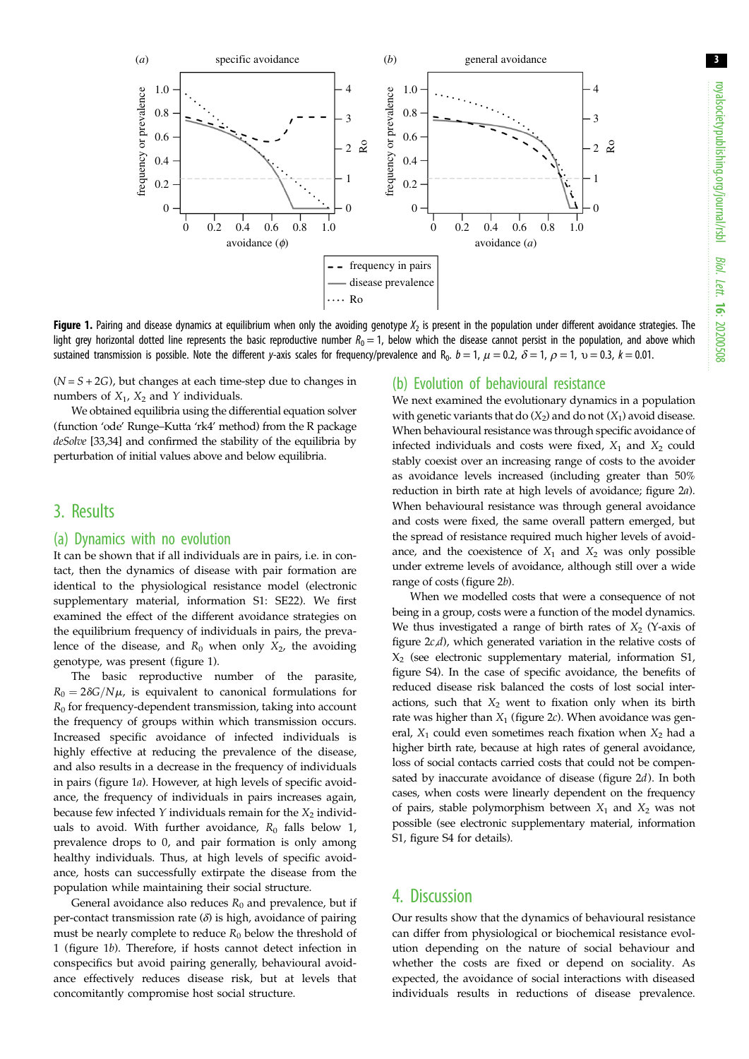3



Figure 1. Pairing and disease dynamics at equilibrium when only the avoiding genotype  $X_2$  is present in the population under different avoidance strategies. The light grey horizontal dotted line represents the basic reproductive number  $R_0 = 1$ , below which the disease cannot persist in the population, and above which sustained transmission is possible. Note the different y-axis scales for frequency/prevalence and R<sub>0</sub>.  $b = 1$ ,  $\mu = 0.2$ ,  $\delta = 1$ ,  $\rho = 1$ ,  $v = 0.3$ ,  $k = 0.01$ .

 $(N = S + 2G)$ , but changes at each time-step due to changes in numbers of  $X_1$ ,  $X_2$  and Y individuals.

We obtained equilibria using the differential equation solver (function 'ode' Runge–Kutta 'rk4' method) from the R package deSolve [[33](#page-4-0)[,34](#page-5-0)] and confirmed the stability of the equilibria by perturbation of initial values above and below equilibria.

## 3. Results

#### (a) Dynamics with no evolution

It can be shown that if all individuals are in pairs, i.e. in contact, then the dynamics of disease with pair formation are identical to the physiological resistance model (electronic supplementary material, information S1: SE22). We first examined the effect of the different avoidance strategies on the equilibrium frequency of individuals in pairs, the prevalence of the disease, and  $R_0$  when only  $X_2$ , the avoiding genotype, was present (figure 1).

The basic reproductive number of the parasite,  $R_0 = 2\delta G/N\mu$ , is equivalent to canonical formulations for  $R_0$  for frequency-dependent transmission, taking into account the frequency of groups within which transmission occurs. Increased specific avoidance of infected individuals is highly effective at reducing the prevalence of the disease. and also results in a decrease in the frequency of individuals in pairs (figure 1a). However, at high levels of specific avoidance, the frequency of individuals in pairs increases again, because few infected Y individuals remain for the  $X_2$  individuals to avoid. With further avoidance,  $R_0$  falls below 1, prevalence drops to 0, and pair formation is only among healthy individuals. Thus, at high levels of specific avoidance, hosts can successfully extirpate the disease from the population while maintaining their social structure.

General avoidance also reduces  $R_0$  and prevalence, but if per-contact transmission rate  $(\delta)$  is high, avoidance of pairing must be nearly complete to reduce  $R_0$  below the threshold of 1 (figure 1b). Therefore, if hosts cannot detect infection in conspecifics but avoid pairing generally, behavioural avoidance effectively reduces disease risk, but at levels that concomitantly compromise host social structure.

#### (b) Evolution of behavioural resistance

We next examined the evolutionary dynamics in a population with genetic variants that do  $(X_2)$  and do not  $(X_1)$  avoid disease. When behavioural resistance was through specific avoidance of infected individuals and costs were fixed,  $X_1$  and  $X_2$  could stably coexist over an increasing range of costs to the avoider as avoidance levels increased (including greater than 50% reduction in birth rate at high levels of avoidance; [figure 2](#page-3-0)a). When behavioural resistance was through general avoidance and costs were fixed, the same overall pattern emerged, but the spread of resistance required much higher levels of avoidance, and the coexistence of  $X_1$  and  $X_2$  was only possible under extreme levels of avoidance, although still over a wide range of costs ([figure 2](#page-3-0)b).

When we modelled costs that were a consequence of not being in a group, costs were a function of the model dynamics. We thus investigated a range of birth rates of  $X_2$  (Y-axis of [figure 2](#page-3-0)c,d), which generated variation in the relative costs of  $X<sub>2</sub>$  (see electronic supplementary material, information S1, figure S4). In the case of specific avoidance, the benefits of reduced disease risk balanced the costs of lost social interactions, such that  $X_2$  went to fixation only when its birth rate was higher than  $X_1$  [\(figure 2](#page-3-0)c). When avoidance was general,  $X_1$  could even sometimes reach fixation when  $X_2$  had a higher birth rate, because at high rates of general avoidance, loss of social contacts carried costs that could not be compensated by inaccurate avoidance of disease ([figure 2](#page-3-0)d). In both cases, when costs were linearly dependent on the frequency of pairs, stable polymorphism between  $X_1$  and  $X_2$  was not possible (see electronic supplementary material, information S1, figure S4 for details).

### 4. Discussion

Our results show that the dynamics of behavioural resistance can differ from physiological or biochemical resistance evolution depending on the nature of social behaviour and whether the costs are fixed or depend on sociality. As expected, the avoidance of social interactions with diseased individuals results in reductions of disease prevalence.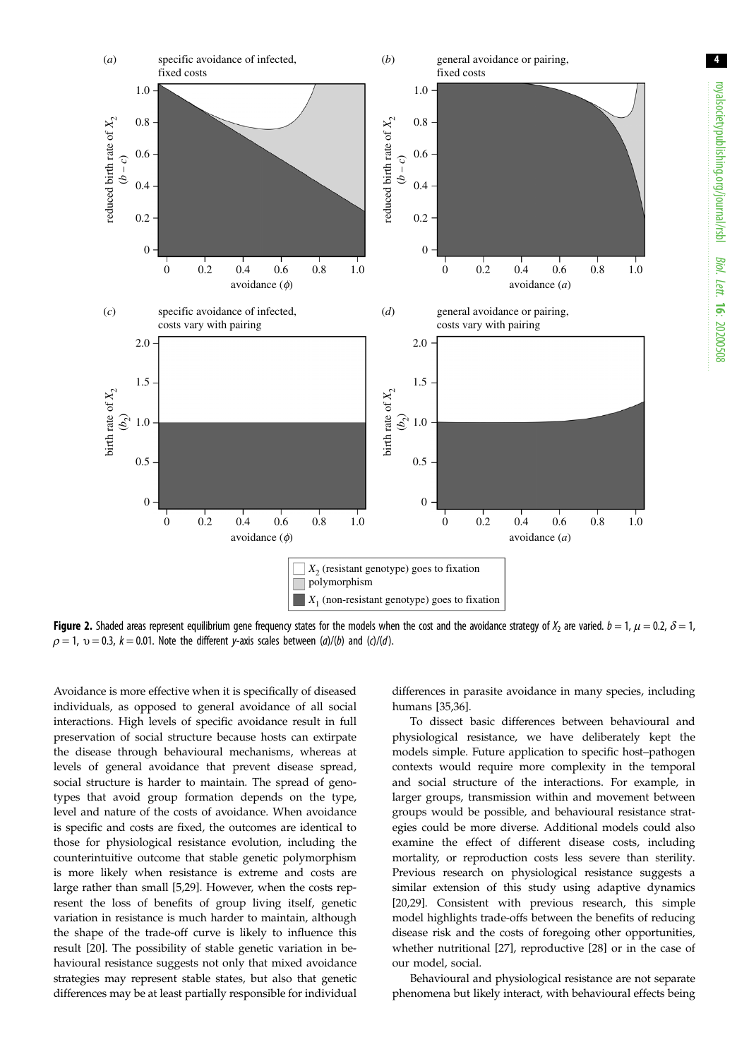<span id="page-3-0"></span>

Figure 2. Shaded areas represent equilibrium gene frequency states for the models when the cost and the avoidance strategy of  $X_2$  are varied.  $b = 1$ ,  $\mu = 0.2$ ,  $\delta = 1$ ,  $\rho = 1$ ,  $v = 0.3$ ,  $k = 0.01$ . Note the different y-axis scales between (a)/(b) and (c)/(d).

Avoidance is more effective when it is specifically of diseased individuals, as opposed to general avoidance of all social interactions. High levels of specific avoidance result in full preservation of social structure because hosts can extirpate the disease through behavioural mechanisms, whereas at levels of general avoidance that prevent disease spread, social structure is harder to maintain. The spread of genotypes that avoid group formation depends on the type, level and nature of the costs of avoidance. When avoidance is specific and costs are fixed, the outcomes are identical to those for physiological resistance evolution, including the counterintuitive outcome that stable genetic polymorphism is more likely when resistance is extreme and costs are large rather than small [[5](#page-4-0),[29\]](#page-4-0). However, when the costs represent the loss of benefits of group living itself, genetic variation in resistance is much harder to maintain, although the shape of the trade-off curve is likely to influence this result [[20\]](#page-4-0). The possibility of stable genetic variation in behavioural resistance suggests not only that mixed avoidance strategies may represent stable states, but also that genetic differences may be at least partially responsible for individual

differences in parasite avoidance in many species, including humans [\[35](#page-5-0),[36\]](#page-5-0).

To dissect basic differences between behavioural and physiological resistance, we have deliberately kept the models simple. Future application to specific host–pathogen contexts would require more complexity in the temporal and social structure of the interactions. For example, in larger groups, transmission within and movement between groups would be possible, and behavioural resistance strategies could be more diverse. Additional models could also examine the effect of different disease costs, including mortality, or reproduction costs less severe than sterility. Previous research on physiological resistance suggests a similar extension of this study using adaptive dynamics [[20,29\]](#page-4-0). Consistent with previous research, this simple model highlights trade-offs between the benefits of reducing disease risk and the costs of foregoing other opportunities, whether nutritional [\[27](#page-4-0)], reproductive [[28\]](#page-4-0) or in the case of our model, social.

Behavioural and physiological resistance are not separate phenomena but likely interact, with behavioural effects being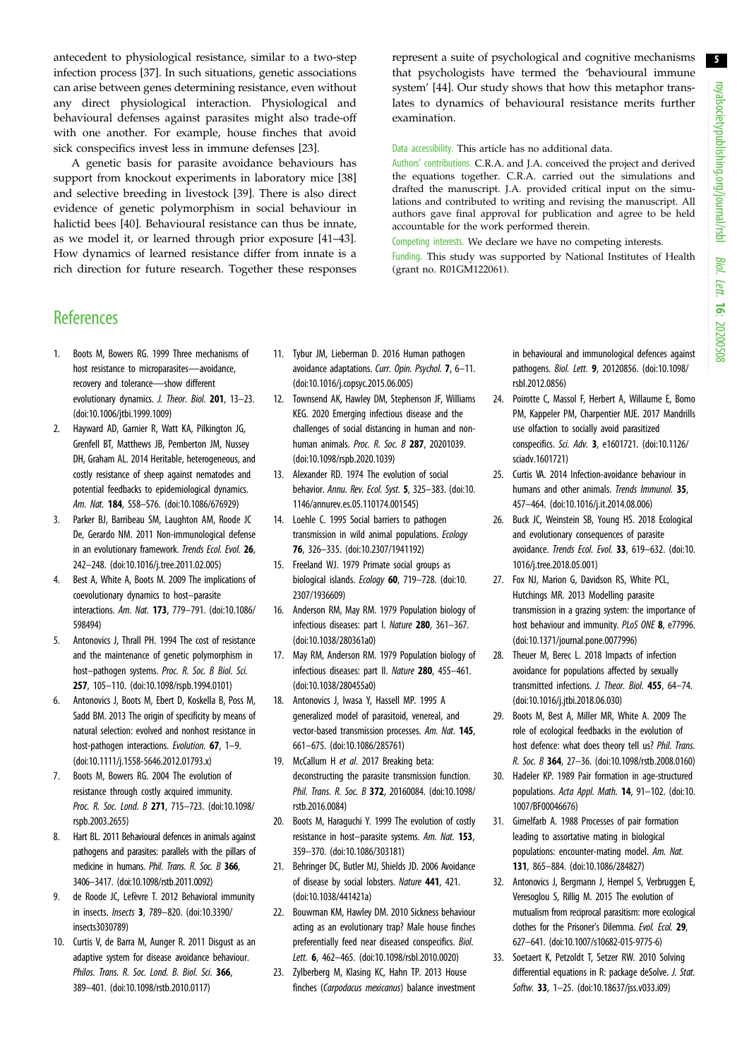5

<span id="page-4-0"></span>antecedent to physiological resistance, similar to a two-step infection process [\[37](#page-5-0)]. In such situations, genetic associations can arise between genes determining resistance, even without any direct physiological interaction. Physiological and behavioural defenses against parasites might also trade-off with one another. For example, house finches that avoid sick conspecifics invest less in immune defenses [23].

A genetic basis for parasite avoidance behaviours has support from knockout experiments in laboratory mice [[38\]](#page-5-0) and selective breeding in livestock [\[39](#page-5-0)]. There is also direct evidence of genetic polymorphism in social behaviour in halictid bees [\[40](#page-5-0)]. Behavioural resistance can thus be innate, as we model it, or learned through prior exposure [[41](#page-5-0)–[43](#page-5-0)]. How dynamics of learned resistance differ from innate is a rich direction for future research. Together these responses represent a suite of psychological and cognitive mechanisms that psychologists have termed the 'behavioural immune system' [[44\]](#page-5-0). Our study shows that how this metaphor translates to dynamics of behavioural resistance merits further examination.

Data accessibility. This article has no additional data.

Authors' contributions. C.R.A. and J.A. conceived the project and derived the equations together. C.R.A. carried out the simulations and drafted the manuscript. J.A. provided critical input on the simulations and contributed to writing and revising the manuscript. All authors gave final approval for publication and agree to be held accountable for the work performed therein.

Competing interests. We declare we have no competing interests. Funding. This study was supported by National Institutes of Health (grant no. R01GM122061).

## **References**

- 1. Boots M, Bowers RG. 1999 Three mechanisms of host resistance to microparasites—avoidance, recovery and tolerance—show different evolutionary dynamics. J. Theor. Biol. 201, 13-23. [\(doi:10.1006/jtbi.1999.1009](http://dx.doi.org/10.1006/jtbi.1999.1009))
- 2. Hayward AD, Garnier R, Watt KA, Pilkington JG, Grenfell BT, Matthews JB, Pemberton JM, Nussey DH, Graham AL. 2014 Heritable, heterogeneous, and costly resistance of sheep against nematodes and potential feedbacks to epidemiological dynamics. Am. Nat. 184, S58–S76. [\(doi:10.1086/676929\)](http://dx.doi.org/10.1086/676929)
- 3. Parker BJ, Barribeau SM, Laughton AM, Roode JC De, Gerardo NM. 2011 Non-immunological defense in an evolutionary framework. Trends Ecol. Evol. 26, 242–248. ([doi:10.1016/j.tree.2011.02.005\)](http://dx.doi.org/10.1016/j.tree.2011.02.005)
- 4. Best A, White A, Boots M. 2009 The implications of coevolutionary dynamics to host–parasite interactions. Am. Nat. 173, 779–791. ([doi:10.1086/](http://dx.doi.org/10.1086/598494) [598494](http://dx.doi.org/10.1086/598494))
- 5. Antonovics J, Thrall PH. 1994 The cost of resistance and the maintenance of genetic polymorphism in host–pathogen systems. Proc. R. Soc. B Biol. Sci. 257, 105–110. ([doi:10.1098/rspb.1994.0101](http://dx.doi.org/10.1098/rspb.1994.0101))
- 6. Antonovics J, Boots M, Ebert D, Koskella B, Poss M, Sadd BM. 2013 The origin of specificity by means of natural selection: evolved and nonhost resistance in host-pathogen interactions. Evolution. **67**, 1-9. [\(doi:10.1111/j.1558-5646.2012.01793.x](http://dx.doi.org/10.1111/j.1558-5646.2012.01793.x))
- 7. Boots M, Bowers RG. 2004 The evolution of resistance through costly acquired immunity. Proc. R. Soc. Lond. B 271, 715–723. ([doi:10.1098/](http://dx.doi.org/10.1098/rspb.2003.2655) [rspb.2003.2655](http://dx.doi.org/10.1098/rspb.2003.2655))
- 8. Hart BL. 2011 Behavioural defences in animals against pathogens and parasites: parallels with the pillars of medicine in humans. Phil. Trans. R. Soc. B 366, 3406–3417. [\(doi:10.1098/rstb.2011.0092](http://dx.doi.org/10.1098/rstb.2011.0092))
- 9. de Roode JC, Lefèvre T. 2012 Behavioral immunity in insects. Insects 3, 789–820. [\(doi:10.3390/](http://dx.doi.org/10.3390/insects3030789) [insects3030789\)](http://dx.doi.org/10.3390/insects3030789)
- 10. Curtis V, de Barra M, Aunger R. 2011 Disgust as an adaptive system for disease avoidance behaviour. Philos. Trans. R. Soc. Lond. B. Biol. Sci. 366, 389–401. ([doi:10.1098/rstb.2010.0117\)](http://dx.doi.org/10.1098/rstb.2010.0117)
- 11. Tybur JM, Lieberman D. 2016 Human pathogen avoidance adaptations. Curr. Opin. Psychol. 7, 6–11. [\(doi:10.1016/j.copsyc.2015.06.005](http://dx.doi.org/10.1016/j.copsyc.2015.06.005))
- 12. Townsend AK, Hawley DM, Stephenson JF, Williams KEG. 2020 Emerging infectious disease and the challenges of social distancing in human and nonhuman animals. Proc. R. Soc. B 287, 20201039. [\(doi:10.1098/rspb.2020.1039\)](http://dx.doi.org/10.1098/rspb.2020.1039)
- 13. Alexander RD. 1974 The evolution of social behavior. Annu. Rev. Ecol. Syst. 5, 325–383. [\(doi:10.](http://dx.doi.org/10.1146/annurev.es.05.110174.001545) [1146/annurev.es.05.110174.001545\)](http://dx.doi.org/10.1146/annurev.es.05.110174.001545)
- 14. Loehle C. 1995 Social barriers to pathogen transmission in wild animal populations. Ecology 76, 326–335. ([doi:10.2307/1941192\)](http://dx.doi.org/10.2307/1941192)
- 15. Freeland WJ. 1979 Primate social groups as biological islands. Ecology 60, 719-728. [\(doi:10.](http://dx.doi.org/10.2307/1936609) [2307/1936609](http://dx.doi.org/10.2307/1936609))
- 16. Anderson RM, May RM. 1979 Population biology of infectious diseases: part I. Nature 280, 361–367. [\(doi:10.1038/280361a0\)](http://dx.doi.org/10.1038/280361a0)
- 17. May RM, Anderson RM. 1979 Population biology of infectious diseases: part II. Nature 280, 455–461. [\(doi:10.1038/280455a0\)](http://dx.doi.org/10.1038/280455a0)
- 18. Antonovics J, Iwasa Y, Hassell MP. 1995 A generalized model of parasitoid, venereal, and vector-based transmission processes. Am. Nat. 145, 661–675. ([doi:10.1086/285761](http://dx.doi.org/10.1086/285761))
- 19. McCallum H et al. 2017 Breaking beta: deconstructing the parasite transmission function. Phil. Trans. R. Soc. B 372, 20160084. [\(doi:10.1098/](http://dx.doi.org/10.1098/rstb.2016.0084) [rstb.2016.0084\)](http://dx.doi.org/10.1098/rstb.2016.0084)
- 20. Boots M, Haraguchi Y. 1999 The evolution of costly resistance in host–parasite systems. Am. Nat. 153, 359–370. ([doi:10.1086/303181](http://dx.doi.org/10.1086/303181))
- 21. Behringer DC, Butler MJ, Shields JD. 2006 Avoidance of disease by social lobsters. Nature 441, 421. [\(doi:10.1038/441421a](http://dx.doi.org/10.1038/441421a))
- 22. Bouwman KM, Hawley DM. 2010 Sickness behaviour acting as an evolutionary trap? Male house finches preferentially feed near diseased conspecifics. Biol. Lett. 6, 462–465. ([doi:10.1098/rsbl.2010.0020\)](http://dx.doi.org/10.1098/rsbl.2010.0020)
- 23. Zylberberg M, Klasing KC, Hahn TP. 2013 House finches (Carpodacus mexicanus) balance investment

in behavioural and immunological defences against pathogens. Biol. Lett. 9, 20120856. ([doi:10.1098/](http://dx.doi.org/10.1098/rsbl.2012.0856) [rsbl.2012.0856](http://dx.doi.org/10.1098/rsbl.2012.0856))

- 24. Poirotte C, Massol F, Herbert A, Willaume E, Bomo PM, Kappeler PM, Charpentier MJE. 2017 Mandrills use olfaction to socially avoid parasitized conspecifics. Sci. Adv. 3, e1601721. ([doi:10.1126/](http://dx.doi.org/10.1126/sciadv.1601721) [sciadv.1601721\)](http://dx.doi.org/10.1126/sciadv.1601721)
- 25. Curtis VA. 2014 Infection-avoidance behaviour in humans and other animals. Trends Immunol. 35, 457–464. [\(doi:10.1016/j.it.2014.08.006\)](http://dx.doi.org/10.1016/j.it.2014.08.006)
- 26. Buck JC, Weinstein SB, Young HS. 2018 Ecological and evolutionary consequences of parasite avoidance. Trends Ecol. Evol. 33, 619–632. [\(doi:10.](http://dx.doi.org/10.1016/j.tree.2018.05.001) [1016/j.tree.2018.05.001](http://dx.doi.org/10.1016/j.tree.2018.05.001))
- 27. Fox NJ, Marion G, Davidson RS, White PCL, Hutchings MR. 2013 Modelling parasite transmission in a grazing system: the importance of host behaviour and immunity. PLoS ONE 8, e77996. ([doi:10.1371/journal.pone.0077996](http://dx.doi.org/10.1371/journal.pone.0077996))
- 28. Theuer M, Berec L. 2018 Impacts of infection avoidance for populations affected by sexually transmitted infections. J. Theor. Biol. 455, 64–74. ([doi:10.1016/j.jtbi.2018.06.030](http://dx.doi.org/10.1016/j.jtbi.2018.06.030))
- 29. Boots M, Best A, Miller MR, White A. 2009 The role of ecological feedbacks in the evolution of host defence: what does theory tell us? Phil. Trans. R. Soc. B 364, 27–36. [\(doi:10.1098/rstb.2008.0160](http://dx.doi.org/10.1098/rstb.2008.0160))
- 30. Hadeler KP. 1989 Pair formation in age-structured populations. Acta Appl. Math. 14, 91–102. [\(doi:10.](http://dx.doi.org/10.1007/BF00046676) [1007/BF00046676](http://dx.doi.org/10.1007/BF00046676))
- 31. Gimelfarb A. 1988 Processes of pair formation leading to assortative mating in biological populations: encounter-mating model. Am. Nat. 131, 865–884. [\(doi:10.1086/284827](http://dx.doi.org/10.1086/284827))
- 32. Antonovics J, Bergmann J, Hempel S, Verbruggen E, Veresoglou S, Rillig M. 2015 The evolution of mutualism from reciprocal parasitism: more ecological clothes for the Prisoner's Dilemma. Evol. Ecol. 29, 627–641. ([doi:10.1007/s10682-015-9775-6](http://dx.doi.org/10.1007/s10682-015-9775-6))
- 33. Soetaert K, Petzoldt T, Setzer RW. 2010 Solving differential equations in R: package deSolve. J. Stat. Softw. 33, 1–25. [\(doi:10.18637/jss.v033.i09\)](http://dx.doi.org/10.18637/jss.v033.i09)